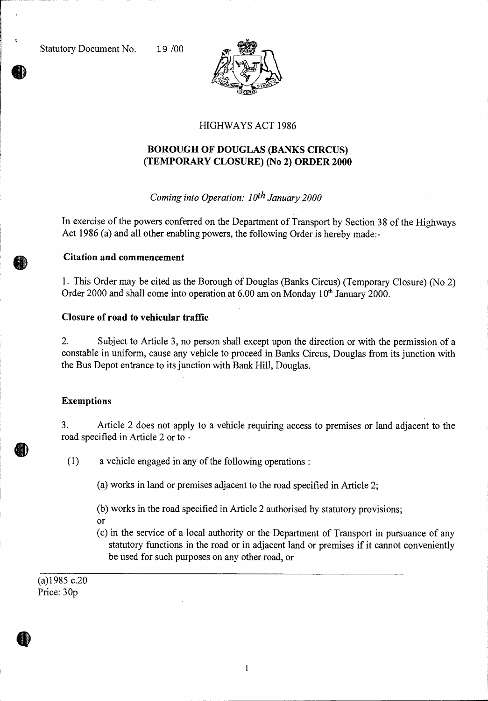

# HIGHWAYS ACT 1986

# **BOROUGH OF DOUGLAS (BANKS CIRCUS) (TEMPORARY CLOSURE) (No 2) ORDER 2000**

## *Coming into Operation: 10th January 2000*

In exercise of the powers conferred on the Department of Transport by Section 38 of the Highways Act 1986 (a) and all other enabling powers, the following Order is hereby made:-

#### **Citation and commencement**

1. This Order may be cited as the Borough of Douglas (Banks Circus) (Temporary Closure) (No 2) Order 2000 and shall come into operation at  $6.00$  am on Monday  $10<sup>th</sup>$  January 2000.

### **Closure of road to vehicular traffic**

2. Subject to Article 3, no person shall except upon the direction or with the permission of a constable in uniform, cause any vehicle to proceed in Banks Circus, Douglas from its junction with the Bus Depot entrance to its junction with Bank Hill, Douglas.

### **Exemptions**

3. Article 2 does not apply to a vehicle requiring access to premises or land adjacent to the road specified in Article 2 or to -

(1) a vehicle engaged in any of the following operations :

(a) works in land or premises adjacent to the road specified in Article 2;

- (b) works in the road specified in Article 2 authorised by statutory provisions; or
- (c) in the service of a local authority or the Department of Transport in pursuance of any statutory functions in the road or in adjacent land or premises if it cannot conveniently be used for such purposes on any other road, or

(a)1985 c.20 Price: 30p